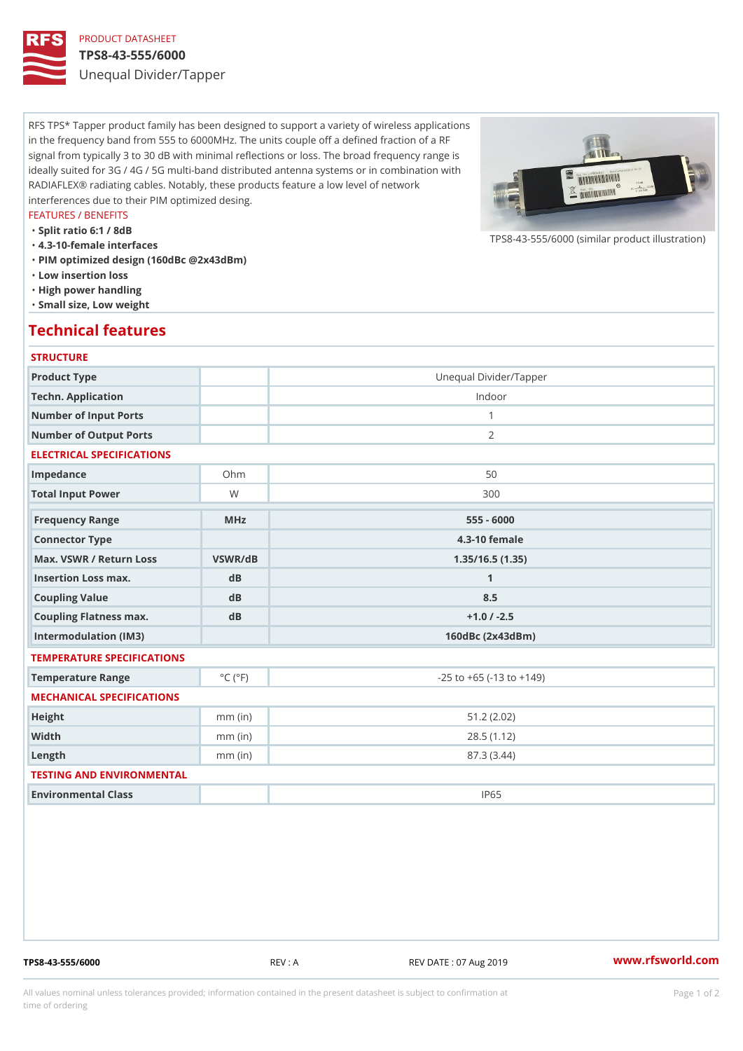# PRODUCT DATASHEET

### TPS8-43-555/6000

Unequal Divider/Tapper

RFS TPS\* Tapper product family has been designed to support a variety of wireless applications in the frequency band from 555 to 6000MHz. The units couple off a defined fraction of a RF signal from typically 3 to 30 dB with minimal reflections or loss. The broad frequency range is ideally suited for 3G / 4G / 5G multi-band distributed antenna systems or in combination with RADIAFLEX® radiating cables. Notably, these products feature a low level of network interferences due to their PIM optimized desing.

#### FEATURES / BENEFITS

"Split ratio 6:1 / 8dB

- "4.3-10-female interfaces
- "PIM optimized design (160dBc @2x43dBm)
- "Low insertion loss
- "High power handling
- "Small size, Low weight

## Technical features

## **STRUCTURE**

| Product Type                                      |                             | Unequal Divider/Tapper             |
|---------------------------------------------------|-----------------------------|------------------------------------|
| Techn. Application                                |                             | Indoor                             |
| Number of Input Ports                             |                             | $\mathbf{1}$                       |
| Number of Output Ports                            |                             | 2                                  |
| ELECTRICAL SPECIFICATIONS                         |                             |                                    |
| Impedance                                         | $Oh$ m                      | 50                                 |
| Total Input Power                                 | W                           | 300                                |
| Frequency Range                                   | MHz                         | $555 - 6000$                       |
| Connector Type                                    |                             | $4.3 - 10$ female                  |
| Max. VSWR / Return LossVSWR/dB<br>1.35/16.5(1.35) |                             |                                    |
| Insertion Loss max.                               | d B                         | $\mathbf{1}$                       |
| Coupling Value                                    | d B                         | 8.5                                |
| Coupling Flatness max.                            | dB                          | $+1.0$ / -2.5                      |
| Intermodulation (IM3)                             |                             | $160dBc$ $(2x43dBm)$               |
| TEMPERATURE SPECIFICATIONS                        |                             |                                    |
| Temperature Range                                 | $^{\circ}$ C ( $^{\circ}$ F | $-25$ to $+65$ ( $-13$ to $+149$ ) |
| MECHANICAL SPECIFICATIONS                         |                             |                                    |
| Height                                            | $mm$ (in)                   | 51.2(2.02)                         |
| Width                                             | $mm$ (in)                   | 28.5(1.12)                         |
| $L$ ength                                         | $mm$ (in)                   | 87.3(3.44)                         |
| TESTING AND ENVIRONMENTAL                         |                             |                                    |
| Environmental Class                               |                             | IP65                               |
|                                                   |                             |                                    |

TPS8-43-555/6000 REV : A REV DATE : 07 Aug 2019 [www.](https://www.rfsworld.com)rfsworld.com

 $TPS8-43-555/6000$  (similar product

All values nominal unless tolerances provided; information contained in the present datasheet is subject to Pcapgeign manation time of ordering